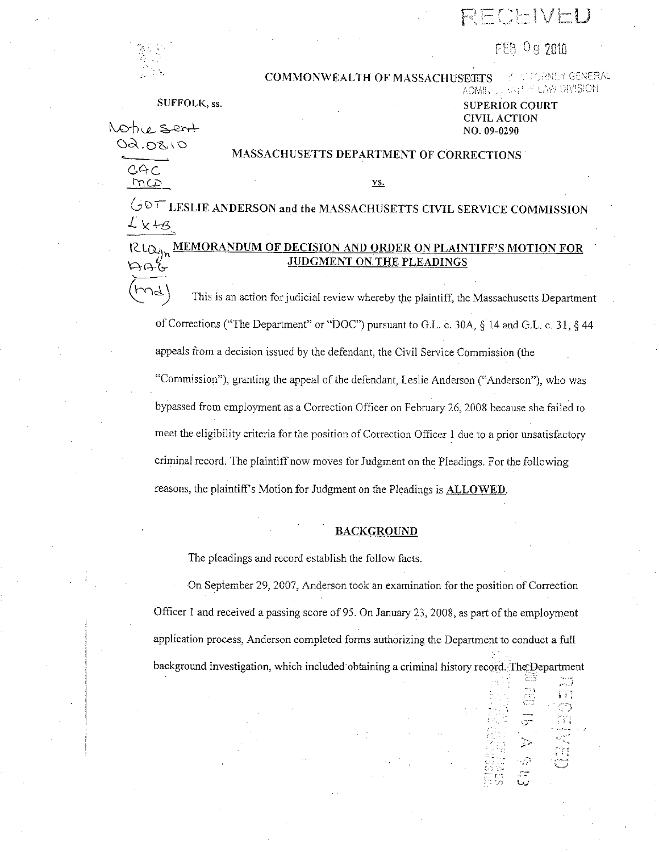$\overline{r}$   $\rightarrow$   $\overline{r}$   $\rightarrow$ I ·• ·-·- '-"'

# FFB 0 9 2010

SALE FOR DIVISION

,::\_- .. ,

أوسادها 評

Lv

-p f.

 $\sqrt{3}$ 



#### COMMONWEALTH OF MASSACHUSECTS \_\_ CECENEY GENERAL

 $0.5$  ert 09.08.10

3A C  $mcD$ 

#### SUFFOLK, ss. SUPERIOR COURT CIVIL ACTION NO. 09-0290

AOMINIUA

### MASSACHUSETTS DEPARTMENT OF CORRECTIONS

<u>vs.</u>

 $\circlearrowleft$  LESLIE ANDERSON and the MASSACHUSETTS CIVIL SERVICE COMMISSION  $L \times +3$ 

# RLO<sub>Y</sub>, MEMORANDUM OF DECISION AND ORDER ON PLAINTIFF'S MOTION FOR<br>UDGMENT ON THE PLEADINGS

 $~\uparrow$  This is an action for judicial review whereby the plaintiff, the Massachusetts Department of Corrections ("The Department" or "DOC") pursuant to G.L. c. 30A, § 14 and G.L. c. 31, § 44 appeals from a decision issued by the defendant, the Civil Service Commission (the "Commission"), granting the appeal of the defendant, Leslie Anderson ("Anderson"), who was bypassed from employment as a Correction Officer on February 26, 2008 because she failed to meet the eligibility criteria for the position of Correction Officer 1 due to a prior unsatisfactory criminal record. The plaintiff now moves for Judgment on the Pleadings. For the following reasons, the plaintiffs Motion for Judgment on the Pleadings is **ALLOWED.** 

#### **BACKGROUND**

The pleadings and record establish the follow facts.

On September 29, 2007, Anderson took an examination for the position of Correction Officer I and received a passing score of 95. On January 23, 2008, as part of the employment application process, Anderson completed forms authorizing the Department to conduct a full background investigation, which included obtaining a criminal history record. The Department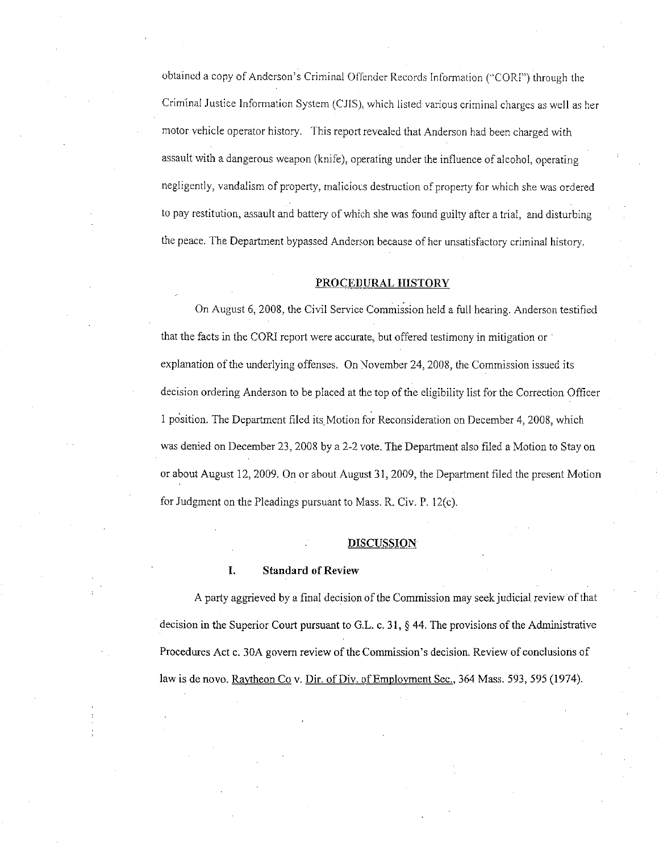obtained a copy of Anderson's Criminal Offender Records Information ("CORI") through the Criminal Justice Information System (CJISJ, which listed various criminal charges as well as her motor vehicle operator history. This report revealed that Anderson had been charged with assault with a dangerous weapon (knife), operating under the influence of alcohol, operating negligently, vandalism of property, malicious destruction of property for which she was ordered to pay restitution, assault and battery of which she was found guilty after a trial, and disturbing the peace. The Department bypassed Anderson because of her unsatisfactory criminal history.

#### **PROCEDURAL HISTORY**

On August 6, 2008, the Civil Service Commission held a full hearing. Anderson testified that the facts in the CORI report were accurate, but offered testimony in mitigation or explanation of the underlying offenses. On November 24, 2008, the Commission issued its decision ordering Anderson to be placed at the top of the eligibility list for the Correction Officer I position. The Department filed its.Motion for Reconsideration on December 4, 2008, which was denied on December 23, 2008 by a 2-2 vote. The Department also filed a Motion to Stay on or about August 12, 2009. On or about August 31, 2009, the Department filed the present Motion for Judgment on the Pleadings pursuant to Mass. R. Civ. P. 12(c).

#### **DISCUSSION**

#### **I. Standard of Review**

A party aggrieved by a final decision of the Commission may seek judicial review of that decision in the Superior Court pursuant to G.L. c. 31, § 44. The provisions of the Administrative Procedures Act c. 30A govern review of the Commission's decision. Review of conclusions of law is de novo. Raytheon Co v. Dir. of Div. of Employment Sec., 364 Mass. 593, 595 (1974).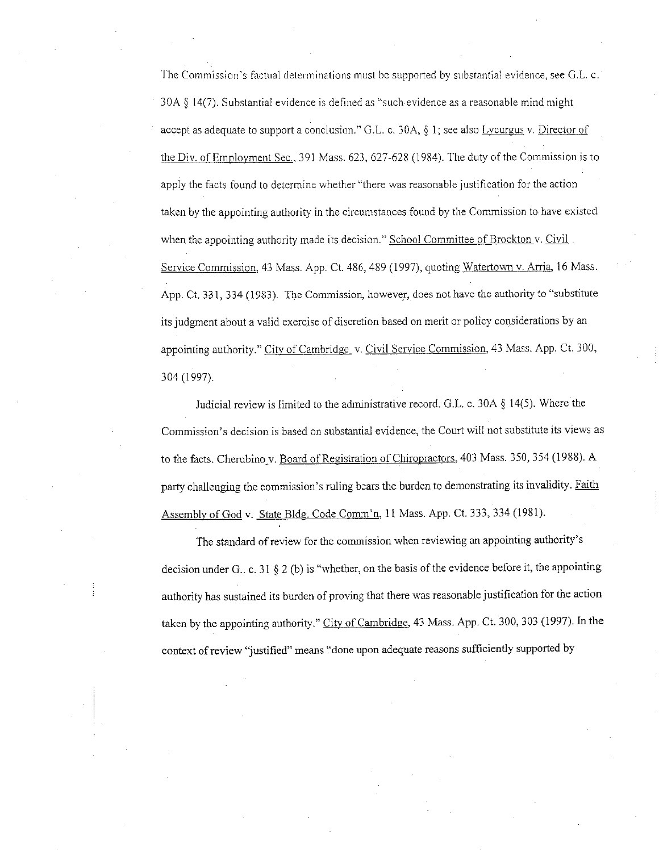**The Commission"s factual determinations must be supported by substantial evidence, see G.L c.**  30A § 14(7). Substantial evidence is defined as "such-evidence as a reasonable mind might accept as adequate to support a conclusion." G.L. c. 30A, § 1; see also Lycurgus v. Director of the Div. of Employment Sec., 391 Mass. 623, 627-628 (1984). The duty of the Commission is to apply the facts found to determine whether "there was reasonable justification for the action taken by the appointing authority in the circumstances found by the Commission to have existed when the appointing authority made its decision." School Committee of Brockton v. Civil. Service Commission, 43 Mass. App. Ct. 486, 489 (1997), quoting Watertown v. Arria, 16 Mass. App. Ct. 331, 334 (1983). The Commission, however, does not have the authority to "substitute its judgment about a valid exercise of discretion based on merit or policy considerations by an appointing authority." City of Cambridge v. Civil Service Commission, 43 Mass. App. Ct. 300, 304 (1997).

Judicial review is limited to the administrative record. G.L. c. 30A § 14(5). Where the Commission's decision is based on substantial evidence, the Court will not substitute its views as to the facts. Cherubino v. Board of Registration of Chiropractors, 403 Mass. 350, 354 (1988). A party challenging the commission's ruling bears the burden to demonstrating its invalidity. Faith Assembly of God v. State Bldg. Code Comm'n, 11 Mass. App. Ct. 333, 334 (1981).

The standard of review for the commission when reviewing an appointing authority's decision under G.. c. 31 § 2 (b) is "whether, on the basis of the evidence before it, the appointing authority has sustained its burden of proving that there was reasonable justification for the action taken by the appointing authority." City of Cambridge, 43 Mass. App. Ct. 300, 303 (1997). In the context of review 'justified" means "done upon adequate reasons sufficiently supported by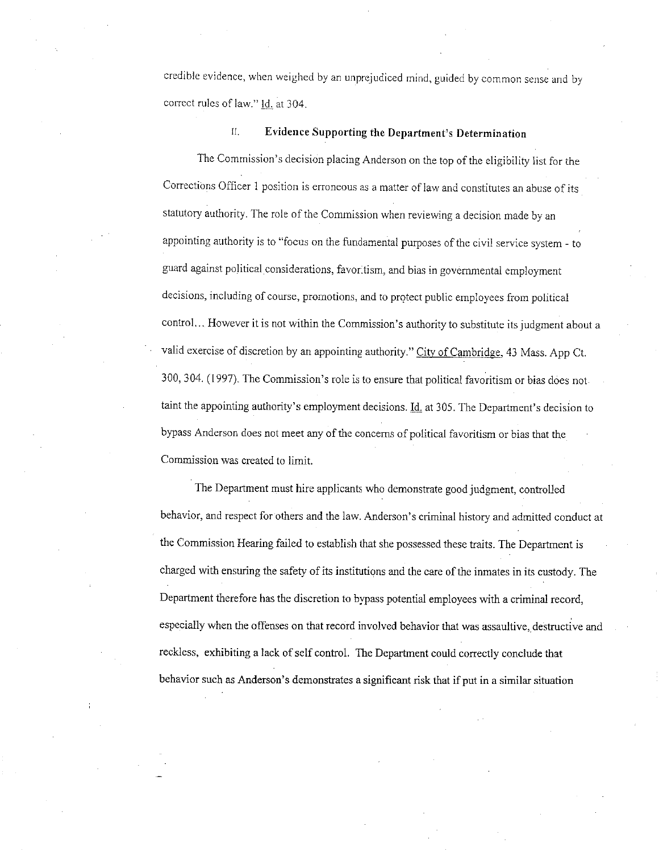credible evidence, when weighed by an unprejudiced mind, guided by common sense and by correct rules of law." Id. at 304.

# II. **Evidence Supporting the Department's Determination**

The Commission's decision placing Anderson on the top of the eligibility list for the Corrections Officer 1 position is erroneous as a matter of law and constitutes an abuse of its statutory authority. The role of the Commission when reviewing a decision made by an appointing authority is to "focus on the fundamental purposes of the civil service system - to guard against political considerations, favoritism, and bias in governmental employment decisions, including of course, promotions, and to prqtect public employees from political control. .. However it is not within the Commission's authority to substitute its judgment about a valid exercise of discretion by an appointing authority." City of Cambridge, 43 Mass. App Ct. 300, 304. (1997). The Commission's role is to ensure that political favoritism or bias does not taint the appointing authority's employment decisions. Id. at 305. The Department's decision to bypass Anderson does not meet any of the concerns of political favoritism or bias that the Commission was created to limit.

The Department must hire applicants who demonstrate good judgment, controlled behavior, and respect for others and the law. Anderson's criminal history and admitted conduct at the Commission Hearing failed to establish that she possessed these traits. The Department is charged with ensuring the safety of its institutions and the care of the inmates in its custody. The Department therefore has the discretion to bypass potential employees with a criminal record, especially when the offenses on that record involved behavior that was assaultive, destructive and reckless, exhibiting a lack of self control. The Department could correctly conclude that behavior such as Anderson's demonstrates a significant risk that if put in a similar situation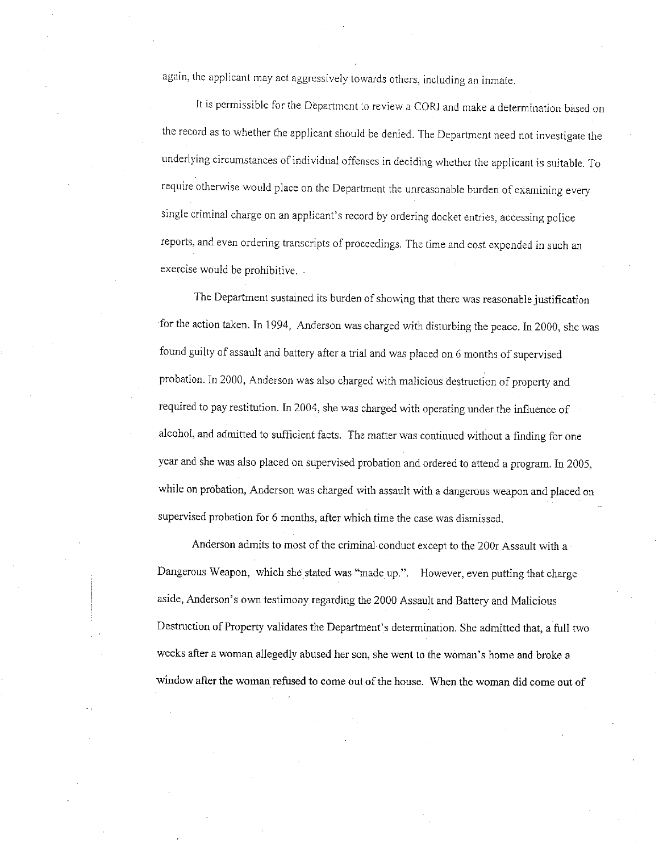**again, the applicant may act aggressively towards others, including an inmate.** 

It is permissible for the Department to review a CORI and make a determination based on the record as to whether the applicant should be denied. The Department need not investigate the underlying circumstances of individual offenses in deciding whether the applicant is suitable. To require otherwise would place on the Department the unreasonable burden of examining every single criminal charge on an applicant's record by ordering docket entries, accessing police reports, and even ordering transcripts of proceedings. The time and cost expended in such an exercise would be prohibitive.

The Department sustained its burden of showing that there was reasonable justification for the action taken. In 1994, Anderson was charged with disturbing the peace. In 2000, she was found guilty of assault and battery after a trial and was placed on 6 months of supervised probation. In 2000, Anderson was also charged with malicious destruction of property and required to pay restitution. In 2004, she was charged with operating under the influence of alcohol, and admitted to sufficient facts. The matter was continued without a finding for one year and she was also placed on supervised probation and ordered to attend a program. In 2005, while on probation, Anderson was charged with assault with a dangerous weapon and placed on supervised probation for 6 months, after which time the case was dismissed.

Anderson admits to most of the criminal conduct except to the 200r Assault with a Dangerous Weapon, which she stated was "made up.". However, even putting that charge aside, Anderson's own testimony regarding the 2000 Assault and Battery and Malicious Destruction of Property validates the Department's determination. She admitted that, a full two weeks after a woman allegedly abused her son, she went to the woman's home and broke a window after the woman refused to come out of the house. When the woman did come out of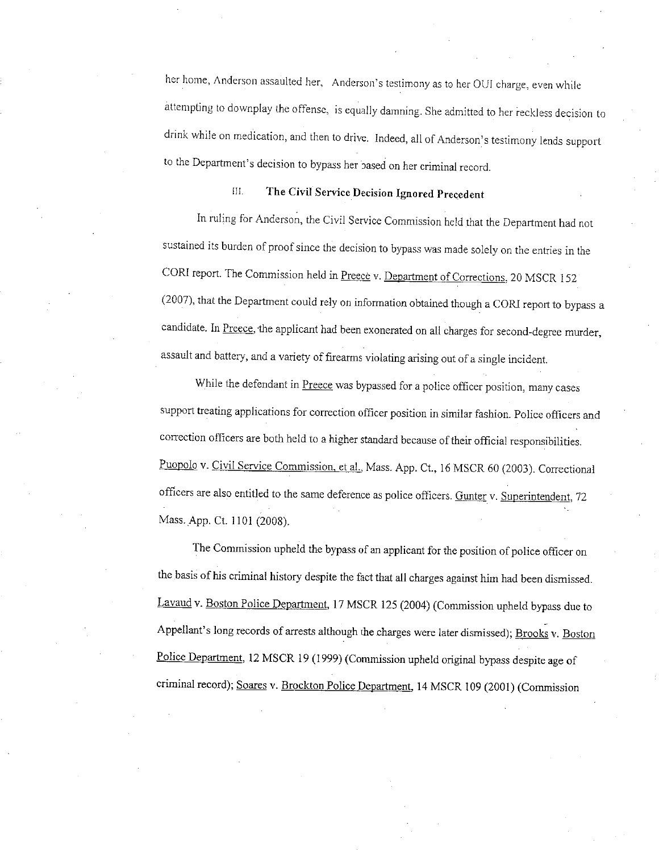her home, Anderson assaulted her, Anderson's testimony as to her OUI charge, even while attempting to downplay the offense, is equally damning. She admitted to her reckless decision to drink while on medication, and then to drive, Indeed, all of Anderson's testimony lends support to the Department's decision to bypass her based on her criminal record.

## **III.** The Civil Service Decision Ignored Precedent

In ruling for Anderson, the Civil Service Commission held that the Department had not sustained its burden of proof since the decision to bypass was made solely on the entries in the CORI report. The Commission held in Preece v. Department of Corrections, 20 MSCR 152 (2007), that the Department could rely on information obtained though a CORJ report to bypass a candidate. In Preece, the applicant had been exonerated on all charges for second-degree murder, assault and battery, and a variety of firearms violating arising out of a single incident.

While the defendant in Preece was bypassed for a police officer position, many cases support treating applications for correction officer position in similar fashion. Police officers and correction officers are both held to a higher standard because of their official responsibilities. Puopolo v. Civil Service Commission, et al., Mass. App. Ct., <sup>16</sup>MSCR 60 (2003). Correctional officers are also entitled to the same deference as police officers. Gunter v. Superintendent, <sup>72</sup> Mass. App. Ct. 1101 (2008).

The Commission upheld the bypass of an applicant for the position of police officer on the basis of his criminal history despite the fact that all charges against him had been dismissed. Lavaud v. Boston Police Department, 17 MSCR 125 (2004) (Commission upheld bypass due to Appellant's long records of arrests although the charges were later dismissed); Brooks v. Boston Police Department, 12 MSCR 19 (1999) (Commission upheld original bypass despite age of criminal record); Soares v. Brockton Police Department, 14 MSCR 109 (2001) (Commission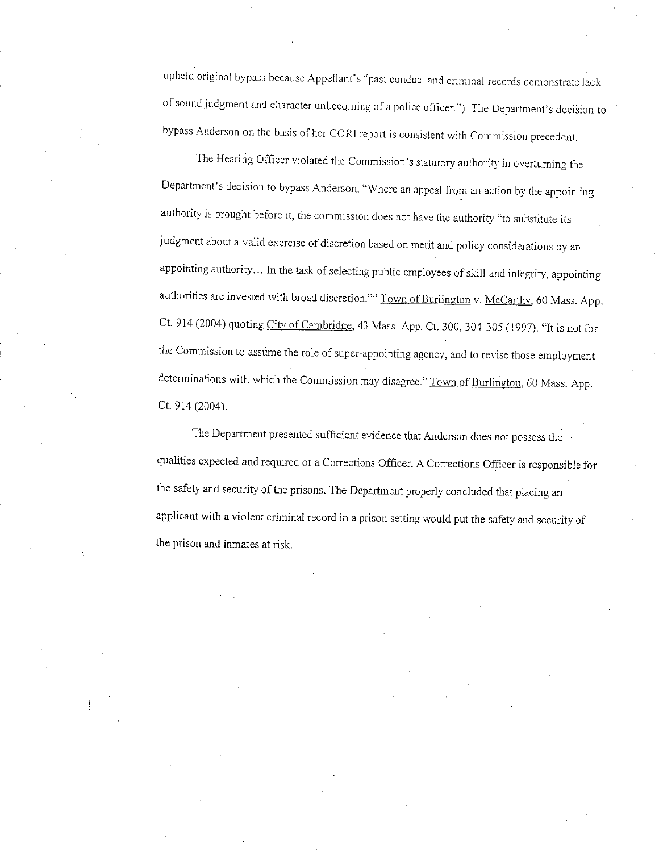upheld original bypass because Appellant's ·'past conduct and criminal records demonstrate lack of sound judgment and character unbecoming of a police officer."). The Department's decision to bypass Anderson on the basis of her CORI report is consistent with Commission precedent.

The Hearing Officer violated the Commission's statutory authority in overturning the Department's decision to bypass Anderson. "Where an appeal from an action by the appointing authority is brought before it, the commission does not have the authority "to substitute its judgment about a valid exercise of discretion based on merit and policy considerations by an appointing authority ... In the task of selecting public employees of skill and integrity, appointing authorities are invested with broad discretion."" Town of Burlington v. McCarthy, 60 Mass. App. Ct. 914 (2004) quoting City of Cambridge. <sup>43</sup>Mass. App. Ct. 300, 304-305 (1997). "It is not for the Commission to assume the role of super-appointing agency, and to revise those employment determinations with which the Commission may disagree." Town of Burlington, 60 Mass. App. Ct. 914 (2004).

The Department presented sufficient evidence that Anderson does not possess the qualities expected and required of a Corrections Officer. A Corrections Officer is responsible for the safety and security of the prisons. The Department properly concluded that placing an applicant with a violent criminal record in a prison setting would put the safety and security of the prison and inmates at risk.